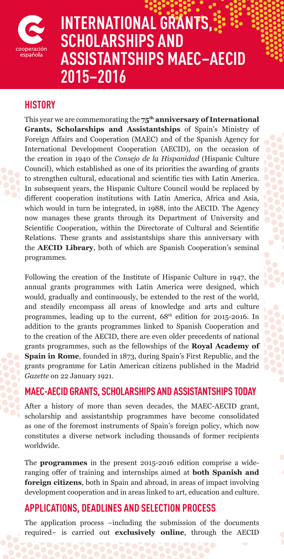

# **INTERNATIONAL GRANTS, SCHOLARSHIPS AND ASSISTANTSHIPS MAEC–AECID 2015–2016**

## **HISTORY**

This year we are commemorating the **75th anniversary of International Grants, Scholarships and Assistantships** of Spain's Ministry of Foreign Affairs and Cooperation (MAEC) and of the Spanish Agency for International Development Cooperation (AECID), on the occasion of the creation in 1940 of the *Consejo de la Hispanidad* (Hispanic Culture Council), which established as one of its priorities the awarding of grants to strengthen cultural, educational and scientific ties with Latin America. In subsequent years, the Hispanic Culture Council would be replaced by different cooperation institutions with Latin America, Africa and Asia, which would in turn be integrated, in 1988, into the AECID. The Agency now manages these grants through its Department of University and Scientific Cooperation, within the Directorate of Cultural and Scientific Relations. These grants and assistantships share this anniversary with the **AECID Library**, both of which are Spanish Cooperation's seminal programmes.

Following the creation of the Institute of Hispanic Culture in 1947, the annual grants programmes with Latin America were designed, which would, gradually and continuously, be extended to the rest of the world, and steadily encompass all areas of knowledge and arts and culture programmes, leading up to the current,  $68<sup>th</sup>$  edition for 2015-2016. In addition to the grants programmes linked to Spanish Cooperation and to the creation of the AECID, there are even older precedents of national grants programmes, such as the fellowships of the **Royal Academy of Spain in Rome**, founded in 1873, during Spain's First Republic, and the grants programme for Latin American citizens published in the Madrid *Gazette* on 22 January 1921.

## **MAEC-AECID GRANTS, SCHOLARSHIPS AND ASSISTANTSHIPS TODAY**

After a history of more than seven decades, the MAEC-AECID grant, scholarship and assistantship programmes have become consolidated as one of the foremost instruments of Spain's foreign policy, which now constitutes a diverse network including thousands of former recipients worldwide.

The **programmes** in the present 2015-2016 edition comprise a wideranging offer of training and internships aimed at **both Spanish and foreign citizens**, both in Spain and abroad, in areas of impact involving development cooperation and in areas linked to art, education and culture.

# **APPLICATIONS, DEADLINES AND SELECTION PROCESS**

The application process −including the submission of the documents required− is carried out **exclusively online**, through the AECID